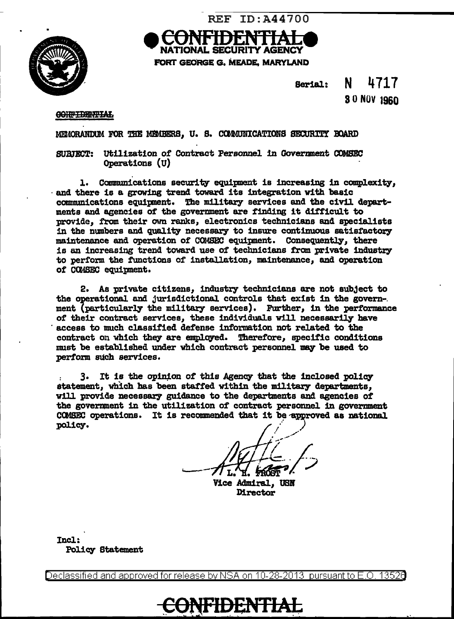

TIONAL SECURITY AGENCY FORT GEORGE G. MEADE, MARYLAND

**REF ID: A44700** 

N 4717 Serial: 30 NOV 1960

#### **CONFIDENTIAL**

MEMORANDUM FOR THE MEMBERS. U. S. COMMUNICATIONS SECURITY BOARD

SURFECT: Utilization of Contract Personnel in Government COMSEC Operations (U)

1. Communications security equipment is increasing in complexity, and there is a growing trend toward its integration with basic communications equipment. The military services and the civil depart-<br>ments and agencies of the government are finding it difficult to provide. from their own ranks, electronics technicians and specialists in the numbers and quality necessary to insure continuous satisfactory maintenance and operation of COMSEC equipment. Consequently, there is an increasing trend toward use of technicians from private industry to perform the functions of installation, maintenance, and operation of COMSEC equipment.

2. As private citizens, industry technicians are not subject to the operational and jurisdictional controls that exist in the government (particularly the military services). Further, in the performance of their contract services, these individuals will necessarily have access to much classified defense information not related to the contract on which they are employed. Therefore, specific conditions must be established under which contract personnel may be used to perform such services.

3. It is the opinion of this Agency that the inclosed policy statement, which has been staffed within the military departments, will provide necessary guidance to the departments and agencies of the government in the utilization of contract personnel in government COMSEC operations. It is recommended that it be approved as national policy.

Vice Admiral, USN Director

Incl: **Policy Statement** 

Declassified and approved for release by NSA on 10-28-2013 pursuant to E.O. 13526

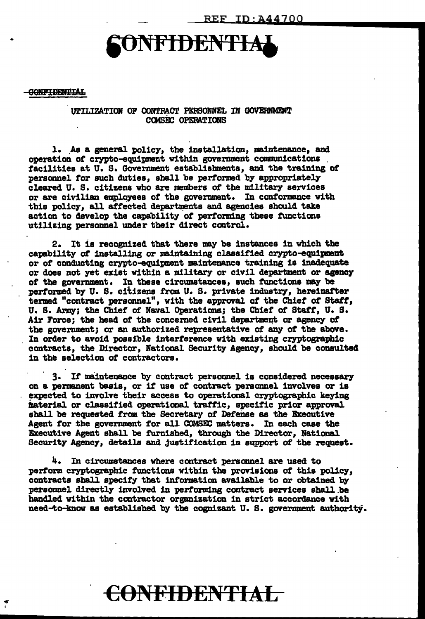# NFIDENTIA

#### **CONFIDENTIAL**

 $\tilde{\mathbf{r}}$ 

UTILIZATION OF CONTRACT PERSONNEL IN GOVERNMENT **COMSEC OPERATIONS** 

1. As a general policy, the installation, maintenance, and operation of crypto-equipment within government communications facilities at U. S. Government establishments, and the training of personnel for such duties, shall be performed by appropriately cleared U. S. citizens who are members of the military services or are civilian employees of the government. In conformance with this policy, all affected departments and agencies should take action to develop the capability of performing these functions utilizing personnel under their direct control.

2. It is recognized that there may be instances in which the capability of installing or maintaining classified crypto-equipment or of conducting crypto-equipment maintenance training is inadequate or does not yet exist within a military or civil department or agency of the government. In these circumstances, such functions may be performed by U. S. citizens from U. S. private industry, hereinafter termed "contract personnel", with the approval of the Chief of Staff, U. S. Army; the Chief of Naval Operations; the Chief of Staff, U. S. Air Force; the head of the concerned civil department or agency of the government; or an authorized representative of any of the above. In order to avoid possible interference with existing cryptographic contracts, the Director, National Security Agency, should be consulted in the selection of contractors.

3. If maintenance by contract personnel is considered necessary on a permanent basis, or if use of contract personnel involves or is expected to involve their access to operational cryptographic keying material or classified operational traffic, specific prior approval shall be requested from the Secretary of Defense as the Executive Agent for the government for all COMSEC matters. In each case the Executive Agent shall be furnished, through the Director, National Security Agency, details and justification in support of the request.

4. In circumstances where contract personnel are used to perform cryptographic functions within the provisions of this policy, contracts shall specify that information available to or obtained by personnel directly involved in performing contract services shall be handled within the contractor organization in strict accordance with need-to-know as established by the cognizant U.S. government authority.

## CONFIDENTIAL